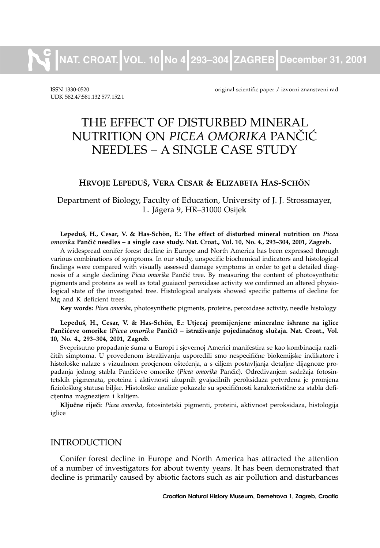**NAT. CROAT. VOL. 10 No 4 293–304 ZAGREB December 31, 2001**

UDK 582.47:581.132. 577.152.1

ISSN 1330-0520 original scientific paper / izvorni znanstveni rad

# THE EFFECT OF DISTURBED MINERAL NUTRITION ON *PICEA OMORIKA* PANČIĆ NEEDLES – A SINGLE CASE STUDY

#### **HRVOJE LEPEDU[, VERA CESAR & ELIZABETA HAS-SCHÖN**

Department of Biology, Faculty of Education, University of J. J. Strossmayer, L. Jägera 9, HR–31000 Osijek

**Lepedu{, H., Cesar, V. & Has-Schön, E.: The effect of disturbed mineral nutrition on** *Picea omorika* **Pan~i} needles – a single case study. Nat. Croat., Vol. 10, No. 4., 293–304, 2001, Zagreb.**

A widespread conifer forest decline in Europe and North America has been expressed through various combinations of symptoms. In our study, unspecific biochemical indicators and histological findings were compared with visually assessed damage symptoms in order to get a detailed diagnosis of a single declining *Picea omorika* Pančić tree. By measuring the content of photosynthetic pigments and proteins as well as total guaiacol peroxidase activity we confirmed an altered physiological state of the investigated tree. Histological analysis showed specific patterns of decline for Mg and K deficient trees.

**Key words:** *Picea omorika*, photosynthetic pigments, proteins, peroxidase activity, needle histology

**Lepedu{, H., Cesar, V. & Has-Schön, E.: Utjecaj promijenjene mineralne ishrane na iglice** Pančićeve omorike (Picea omorika Pančić) – istraživanje pojedinačnog slučaja. Nat. Croat., Vol. **10, No. 4., 293–304, 2001, Zagreb.**

Sveprisutno propadanje šuma u Europi i sjevernoj Americi manifestira se kao kombinacija različitih simptoma. U provedenom istraživanju usporedili smo nespecifične biokemijske indikatore i histološke nalaze s vizualnom procjenom oštećenja, a s ciljem postavljanja detaljne dijagnoze propadanja jednog stabla Pančićeve omorike (Picea omorika Pančić). Određivanjem sadržaja fotosintetskih pigmenata, proteina i aktivnosti ukupnih gvajacilnih peroksidaza potvrđena je promjena fiziološkog statusa biljke. Histološke analize pokazale su specifičnosti karakteristične za stabla deficijentna magnezijem i kalijem.

**Klju~ne rije~i**: *Picea omorika*, fotosintetski pigmenti, proteini, aktivnost peroksidaza, histologija iglice

#### INTRODUCTION

Conifer forest decline in Europe and North America has attracted the attention of a number of investigators for about twenty years. It has been demonstrated that decline is primarily caused by abiotic factors such as air pollution and disturbances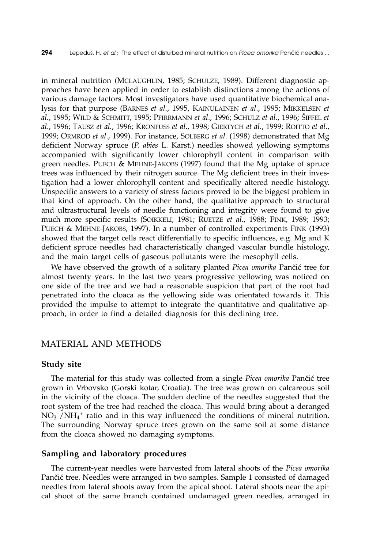in mineral nutrition (MCLAUGHLIN, 1985; SCHULZE, 1989). Different diagnostic approaches have been applied in order to establish distinctions among the actions of various damage factors. Most investigators have used quantitative biochemical analysis for that purpose (BARNES *et al*., 1995, KAINULAINEN *et al*., 1995; MIKKELSEN *et al.*, 1995; WILD & SCHMITT, 1995; PFIRRMANN *et al*., 1996; SCHULZ *et al*., 1996; [IFFEL *et al*., 1996; TAUSZ *et al.*, 1996; KRONFUSS *et al*., 1998; GIERTYCH *et al*., 1999; ROITTO *et al*., 1999; ORMROD *et al*., 1999). For instance, SOLBERG *et al*. (1998) demonstrated that Mg deficient Norway spruce (*P*. *abies* L. Karst.) needles showed yellowing symptoms accompanied with significantly lower chlorophyll content in comparison with green needles. PUECH & MEHNE-JAKOBS (1997) found that the Mg uptake of spruce trees was influenced by their nitrogen source. The Mg deficient trees in their investigation had a lower chlorophyll content and specifically altered needle histology. Unspecific answers to a variety of stress factors proved to be the biggest problem in that kind of approach. On the other hand, the qualitative approach to structural and ultrastructural levels of needle functioning and integrity were found to give much more specific results (SOIKKELI, 1981; RUETZE *et al.*, 1988; FINK, 1989; 1993; PUECH & MEHNE-JAKOBS, 1997). In a number of controlled experiments FINK (1993) showed that the target cells react differentially to specific influences, e.g. Mg and K deficient spruce needles had characteristically changed vascular bundle histology, and the main target cells of gaseous pollutants were the mesophyll cells.

We have observed the growth of a solitary planted *Picea omorika* Pančić tree for almost twenty years. In the last two years progressive yellowing was noticed on one side of the tree and we had a reasonable suspicion that part of the root had penetrated into the cloaca as the yellowing side was orientated towards it. This provided the impulse to attempt to integrate the quantitative and qualitative approach, in order to find a detailed diagnosis for this declining tree.

#### MATERIAL AND METHODS

#### **Study site**

The material for this study was collected from a single *Picea omorika* Pančić tree grown in Vrbovsko (Gorski kotar, Croatia). The tree was grown on calcareous soil in the vicinity of the cloaca. The sudden decline of the needles suggested that the root system of the tree had reached the cloaca. This would bring about a deranged NO3 –/NH4 <sup>+</sup> ratio and in this way influenced the conditions of mineral nutrition. The surrounding Norway spruce trees grown on the same soil at some distance from the cloaca showed no damaging symptoms.

#### **Sampling and laboratory procedures**

The current-year needles were harvested from lateral shoots of the *Picea omorika* Pančić tree. Needles were arranged in two samples. Sample 1 consisted of damaged needles from lateral shoots away from the apical shoot. Lateral shoots near the apical shoot of the same branch contained undamaged green needles, arranged in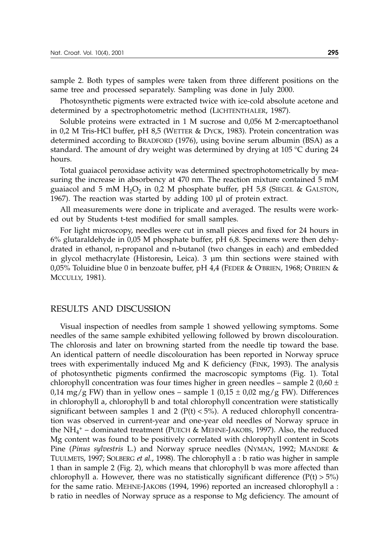sample 2. Both types of samples were taken from three different positions on the same tree and processed separately. Sampling was done in July 2000.

Photosynthetic pigments were extracted twice with ice-cold absolute acetone and determined by a spectrophotometric method (LICHTENTHALER, 1987).

Soluble proteins were extracted in 1 M sucrose and 0,056 M 2-mercaptoethanol in 0,2 M Tris-HCl buffer, pH 8,5 (WETTER & DYCK, 1983). Protein concentration was determined according to BRADFORD (1976), using bovine serum albumin (BSA) as a standard. The amount of dry weight was determined by drying at 105 °C during 24 hours.

Total guaiacol peroxidase activity was determined spectrophotometrically by measuring the increase in absorbency at 470 nm. The reaction mixture contained 5 mM guaiacol and 5 mM  $H_2O_2$  in 0,2 M phosphate buffer, pH 5,8 (SIEGEL & GALSTON, 1967). The reaction was started by adding 100 µl of protein extract.

All measurements were done in triplicate and averaged. The results were worked out by Students t-test modified for small samples.

For light microscopy, needles were cut in small pieces and fixed for 24 hours in 6% glutaraldehyde in 0,05 M phosphate buffer, pH 6,8. Specimens were then dehydrated in ethanol, n-propanol and n-butanol (two changes in each) and embedded in glycol methacrylate (Historesin, Leica). 3 µm thin sections were stained with 0,05% Toluidine blue 0 in benzoate buffer, pH 4,4 (FEDER & O'BRIEN, 1968; O'BRIEN & MCCULLY, 1981).

#### RESULTS AND DISCUSSION

Visual inspection of needles from sample 1 showed yellowing symptoms. Some needles of the same sample exhibited yellowing followed by brown discolouration. The chlorosis and later on browning started from the needle tip toward the base. An identical pattern of needle discolouration has been reported in Norway spruce trees with experimentally induced Mg and K deficiency (FINK, 1993). The analysis of photosynthetic pigments confirmed the macroscopic symptoms (Fig. 1). Total chlorophyll concentration was four times higher in green needles – sample 2 (0,60  $\pm$ 0,14 mg/g FW) than in yellow ones – sample 1 (0,15  $\pm$  0,02 mg/g FW). Differences in chlorophyll a, chlorophyll b and total chlorophyll concentration were statistically significant between samples 1 and 2 ( $P(t) < 5\%$ ). A reduced chlorophyll concentration was observed in current-year and one-year old needles of Norway spruce in the  $NH_4^+$  – dominated treatment (PUECH & MEHNE-JAKOBS, 1997). Also, the reduced Mg content was found to be positively correlated with chlorophyll content in Scots Pine (*Pinus sylvestris* L.) and Norway spruce needles (NYMAN, 1992; MANDRE & TUULMETS, 1997; SOLBERG *et al*., 1998). The chlorophylla:b ratio was higher in sample 1 than in sample 2 (Fig. 2), which means that chlorophyll b was more affected than chlorophyll a. However, there was no statistically significant difference  $(P(t) > 5%)$ for the same ratio. MEHNE-JAKOBS (1994, 1996) reported an increased chlorophyll a : b ratio in needles of Norway spruce as a response to Mg deficiency. The amount of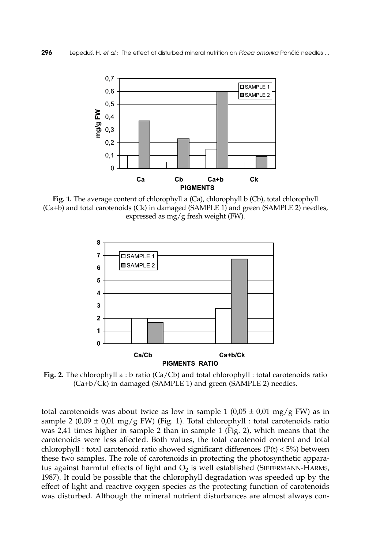

**Fig. 1.** The average content of chlorophyll a (Ca), chlorophyll b (Cb), total chlorophyll (Ca+b) and total carotenoids (Ck) in damaged (SAMPLE 1) and green (SAMPLE 2) needles, expressed as mg/g fresh weight (FW).



**Fig. 2.** The chlorophyll a : b ratio (Ca/Cb) and total chlorophyll : total carotenoids ratio (Ca+b/Ck) in damaged (SAMPLE 1) and green (SAMPLE 2) needles.

total carotenoids was about twice as low in sample 1 (0,05  $\pm$  0,01 mg/g FW) as in sample 2 (0,09  $\pm$  0,01 mg/g FW) (Fig. 1). Total chlorophyll : total carotenoids ratio was 2,41 times higher in sample 2 than in sample 1 (Fig. 2), which means that the carotenoids were less affected. Both values, the total carotenoid content and total chlorophyll : total carotenoid ratio showed significant differences ( $P(t) < 5\%$ ) between these two samples. The role of carotenoids in protecting the photosynthetic apparatus against harmful effects of light and  $O_2$  is well established (SIEFERMANN-HARMS, 1987). It could be possible that the chlorophyll degradation was speeded up by the effect of light and reactive oxygen species as the protecting function of carotenoids was disturbed. Although the mineral nutrient disturbances are almost always con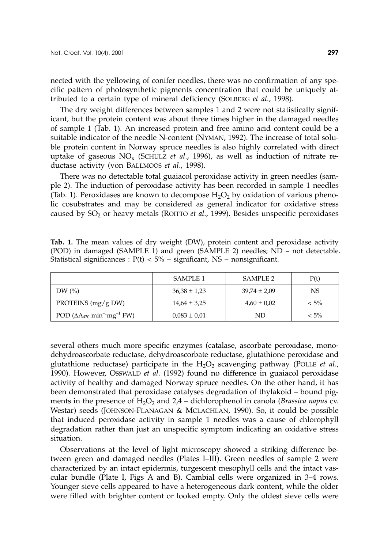nected with the yellowing of conifer needles, there was no confirmation of any specific pattern of photosynthetic pigments concentration that could be uniquely attributed to a certain type of mineral deficiency (SOLBERG *et al*., 1998).

The dry weight differences between samples 1 and 2 were not statistically significant, but the protein content was about three times higher in the damaged needles of sample 1 (Tab. 1). An increased protein and free amino acid content could be a suitable indicator of the needle N-content (NYMAN, 1992). The increase of total soluble protein content in Norway spruce needles is also highly correlated with direct uptake of gaseous  $NO_x$  (SCHULZ *et al.*, 1996), as well as induction of nitrate reductase activity (von BALLMOOS *et al*., 1998).

There was no detectable total guaiacol peroxidase activity in green needles (sample 2). The induction of peroxidase activity has been recorded in sample 1 needles (Tab. 1). Peroxidases are known to decompose  $H_2O_2$  by oxidation of various phenolic cosubstrates and may be considered as general indicator for oxidative stress caused by SO<sub>2</sub> or heavy metals (ROITTO *et al.*, 1999). Besides unspecific peroxidases

**Tab. 1.** The mean values of dry weight (DW), protein content and peroxidase activity (POD) in damaged (SAMPLE 1) and green (SAMPLE 2) needles; ND – not detectable. Statistical significances :  $P(t)$  < 5% – significant, NS – nonsignificant.

|                                                               | SAMPLE 1         | SAMPLE 2         | P(t)    |
|---------------------------------------------------------------|------------------|------------------|---------|
| DW $(\% )$                                                    | $36,38 \pm 1,23$ | $39.74 \pm 2.09$ | NS.     |
| PROTEINS $(mg/g DW)$                                          | $14,64 \pm 3,25$ | $4,60 \pm 0,02$  | $< 5\%$ |
| POD ( $\Delta A_{470}$ min <sup>-1</sup> mg <sup>-1</sup> FW) | $0.083 \pm 0.01$ | ND               | $< 5\%$ |

several others much more specific enzymes (catalase, ascorbate peroxidase, monodehydroascorbate reductase, dehydroascorbate reductase, glutathione peroxidase and glutathione reductase) participate in the  $H_2O_2$  scavenging pathway (POLLE *et al.*, 1990). However, OSSWALD *et al*. (1992) found no difference in guaiacol peroxidase activity of healthy and damaged Norway spruce needles. On the other hand, it has been demonstrated that peroxidase catalyses degradation of thylakoid – bound pigments in the presence of  $H_2O_2$  and  $2.4$  – dichlorophenol in canola (*Brassica napus* cv. Westar) seeds (JOHNSON-FLANAGAN & MCLACHLAN, 1990). So, it could be possible that induced peroxidase activity in sample 1 needles was a cause of chlorophyll degradation rather than just an unspecific symptom indicating an oxidative stress situation.

Observations at the level of light microscopy showed a striking difference between green and damaged needles (Plates I–III). Green needles of sample 2 were characterized by an intact epidermis, turgescent mesophyll cells and the intact vascular bundle (Plate I, Figs A and B). Cambial cells were organized in 3–4 rows. Younger sieve cells appeared to have a heterogeneous dark content, while the older were filled with brighter content or looked empty. Only the oldest sieve cells were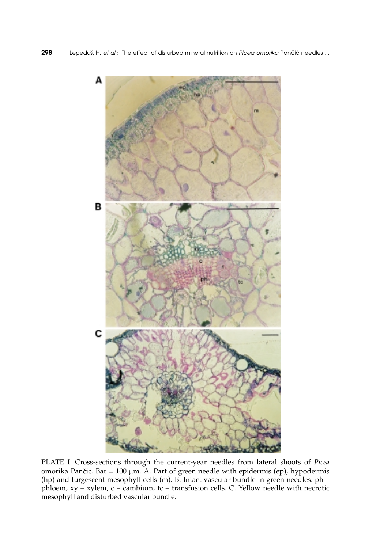

PLATE I. Cross-sections through the current-year needles from lateral shoots of *Picea* omorika Pančić. Bar = 100 µm. A. Part of green needle with epidermis (ep), hypodermis (hp) and turgescent mesophyll cells (m). B. Intact vascular bundle in green needles: ph – phloem, xy – xylem, c – cambium, tc – transfusion cells. C. Yellow needle with necrotic mesophyll and disturbed vascular bundle.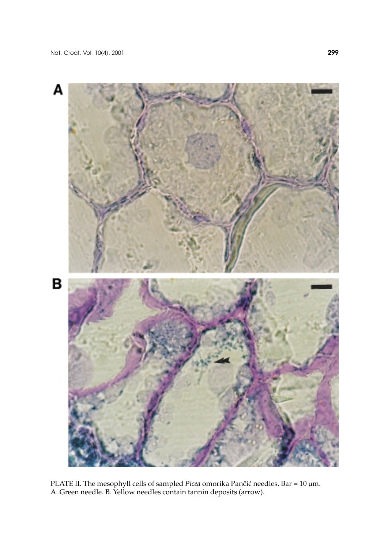

PLATE II. The mesophyll cells of sampled *Picea* omorika Pančić needles. Bar = 10 μm. A. Green needle. B. Yellow needles contain tannin deposits (arrow).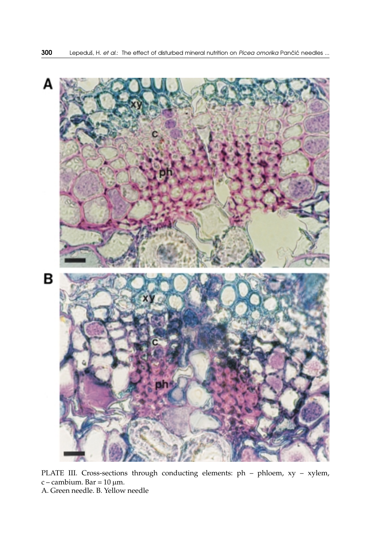

PLATE III. Cross-sections through conducting elements: ph – phloem, xy – xylem, c – cambium. Bar = 10 μm. A. Green needle. B. Yellow needle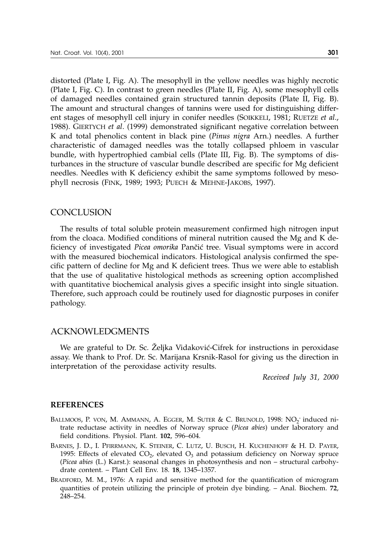distorted (Plate I, Fig. A). The mesophyll in the yellow needles was highly necrotic (Plate I, Fig. C). In contrast to green needles (Plate II, Fig. A), some mesophyll cells of damaged needles contained grain structured tannin deposits (Plate II, Fig. B). The amount and structural changes of tannins were used for distinguishing different stages of mesophyll cell injury in conifer needles (SOIKKELI, 1981; RUETZE *et al*., 1988). GIERTYCH *et al*. (1999) demonstrated significant negative correlation between K and total phenolics content in black pine (*Pinus nigra* Arn.) needles. A further characteristic of damaged needles was the totally collapsed phloem in vascular bundle, with hypertrophied cambial cells (Plate III, Fig. B). The symptoms of disturbances in the structure of vascular bundle described are specific for Mg deficient needles. Needles with K deficiency exhibit the same symptoms followed by mesophyll necrosis (FINK, 1989; 1993; PUECH & MEHNE-JAKOBS, 1997).

#### **CONCLUSION**

The results of total soluble protein measurement confirmed high nitrogen input from the cloaca. Modified conditions of mineral nutrition caused the Mg and K deficiency of investigated *Picea omorika* Pančić tree. Visual symptoms were in accord with the measured biochemical indicators. Histological analysis confirmed the specific pattern of decline for Mg and K deficient trees. Thus we were able to establish that the use of qualitative histological methods as screening option accomplished with quantitative biochemical analysis gives a specific insight into single situation. Therefore, such approach could be routinely used for diagnostic purposes in conifer pathology.

#### ACKNOWLEDGMENTS

We are grateful to Dr. Sc. Željka Vidaković-Cifrek for instructions in peroxidase assay. We thank to Prof. Dr. Sc. Marijana Krsnik-Rasol for giving us the direction in interpretation of the peroxidase activity results.

*Received July 31, 2000*

#### **REFERENCES**

- BALLMOOS, P. VON, M. AMMANN, A. EGGER, M. SUTER & C. BRUNOLD, 1998:  $NO_2^-$  induced nitrate reductase activity in needles of Norway spruce (*Picea abies*) under laboratory and field conditions. Physiol. Plant. **102**, 596–604.
- BARNES, J. D., I. PFIRRMANN, K. STEINER, C. LUTZ, U. BUSCH, H. KUCHENHOFF & H. D. PAYER, 1995: Effects of elevated  $CO<sub>2</sub>$ , elevated  $O<sub>3</sub>$  and potassium deficiency on Norway spruce (*Picea abies* (L.) Karst.): seasonal changes in photosynthesis and non – structural carbohydrate content. – Plant Cell Env. 18. **18**, 1345–1357.
- BRADFORD, M. M., 1976: A rapid and sensitive method for the quantification of microgram quantities of protein utilizing the principle of protein dye binding. – Anal. Biochem. **72**, 248–254.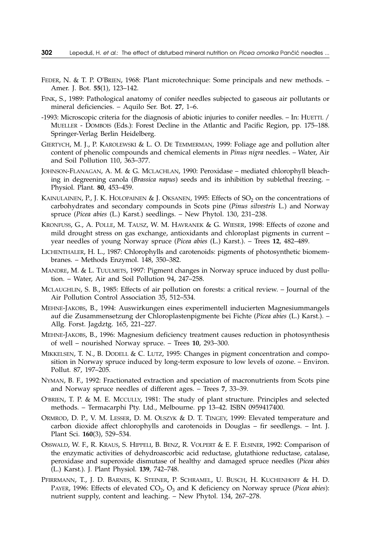- FEDER, N. & T. P. O'BRIEN, 1968: Plant microtechnique: Some principals and new methods. Amer. J. Bot. **55**(1), 123–142.
- FINK, S., 1989: Pathological anatomy of conifer needles subjected to gaseous air pollutants or mineral deficiencies. – Aquilo Ser. Bot. **27**, 1–6.
- -1993: Microscopic criteria for the diagnosis of abiotic injuries to conifer needles. In: HUETTL / MUELLER - DOMBOIS (Eds.): Forest Decline in the Atlantic and Pacific Region, pp. 175–188. Springer-Verlag Berlin Heidelberg.
- GIERTYCH, M. J., P. KAROLEWSKI & L. O. DE TEMMERMAN, 1999: Foliage age and pollution alter content of phenolic compounds and chemical elements in *Pinus nigra* needles. – Water, Air and Soil Pollution 110, 363–377.
- JOHNSON-FLANAGAN, A. M. & G. MCLACHLAN, 1990: Peroxidase mediated chlorophyll bleaching in degreening canola (*Brassica napus*) seeds and its inhibition by sublethal freezing. – Physiol. Plant. **80**, 453–459.
- KAINULAINEN, P., J. K. HOLOPAINEN & J. OKSANEN, 1995: Effects of  $SO_2$  on the concentrations of carbohydrates and secondary compounds in Scots pine (*Pinus silvestris* L.) and Norway spruce (*Picea abies* (L.) Karst.) seedlings. – New Phytol. 130, 231–238.
- KRONFUSS, G., A. POLLE, M. TAUSZ, W. M. HAVRANEK & G. WIESER, 1998: Effects of ozone and mild drought stress on gas exchange, antioxidants and chloroplast pigments in current – year needles of young Norway spruce (*Picea abies* (L.) Karst.). – Trees **12**, 482–489.
- LICHENTHALER, H. L., 1987: Chlorophylls and carotenoids: pigments of photosynthetic biomembranes. – Methods Enzymol. 148, 350–382.
- MANDRE, M. & L. TUULMETS, 1997: Pigment changes in Norway spruce induced by dust pollution. – Water, Air and Soil Pollution 94, 247–258.
- MCLAUGHLIN, S. B., 1985: Effects of air pollution on forests: a critical review. Journal of the Air Pollution Control Association 35, 512–534.
- MEHNE-JAKOBS, B., 1994: Auswirkungen eines experimentell inducierten Magnesiummangels auf die Zusammensetzung der Chloroplastenpigmente bei Fichte (*Picea abies* (L.) Karst.). – Allg. Forst. Jagdztg. 165, 221–227.
- MEHNE-JAKOBS, B., 1996: Magnesium deficiency treatment causes reduction in photosynthesis of well – nourished Norway spruce. – Trees **10**, 293–300.
- MIKKELSEN, T. N., B. DODELL & C. LUTZ, 1995: Changes in pigment concentration and composition in Norway spruce induced by long-term exposure to low levels of ozone. – Environ. Pollut. 87, 197–205.
- NYMAN, B. F., 1992: Fractionated extraction and speciation of macronutrients from Scots pine and Norway spruce needles of different ages. – Trees **7**, 33–39.
- O'BRIEN, T. P. & M. E. MCCULLY, 1981: The study of plant structure. Principles and selected methods. – Termacarphi Pty. Ltd., Melbourne. pp 13–42. ISBN 0959417400.
- ORMROD, D. P., V. M. LESSER, D. M. OLSZYK & D. T. TINGEY, 1999: Elevated temperature and carbon dioxide affect chlorophylls and carotenoids in Douglas – fir seedlengs. – Int. J. Plant Sci. **160**(3), 529–534.
- OSSWALD, W. F., R. KRAUS, S. HIPPELI, B. BENZ, R. VOLPERT & E. F. ELSINER, 1992: Comparison of the enzymatic activities of dehydroascorbic acid reductase, glutathione reductase, catalase, peroxidase and superoxide dismutase of healthy and damaged spruce needles (*Picea abies* (L.) Karst.). J. Plant Physiol. **139**, 742–748.
- PFIRRMANN, T., J. D. BARNES, K. STEINER, P. SCHRAMEL, U. BUSCH, H. KUCHENHOFF & H. D. PAYER, 1996: Effects of elevated CO<sub>2</sub>, O<sub>3</sub> and K deficiency on Norway spruce (*Picea abies*): nutrient supply, content and leaching. – New Phytol. 134, 267–278.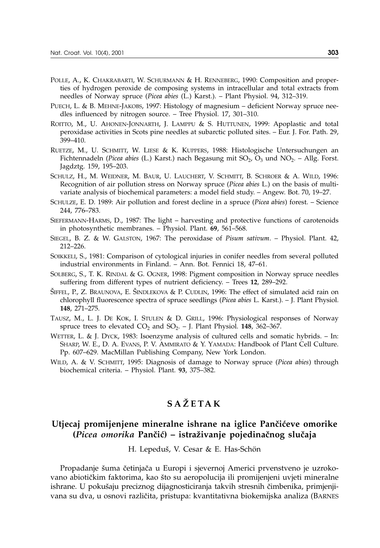- POLLE, A., K. CHAKRABARTI, W. SCHURMANN & H. RENNEBERG, 1990: Composition and properties of hydrogen peroxide de composing systems in intracellular and total extracts from needles of Norway spruce (*Picea abies* (L.) Karst.). – Plant Physiol. 94, 312–319.
- PUECH, L. & B. MEHNE-JAKOBS, 1997: Histology of magnesium deficient Norway spruce needles influenced by nitrogen source. – Tree Physiol. 17, 301–310.
- ROITTO, M., U. AHONEN-JONNARTH, J. LAMPPU & S. HUTTUNEN, 1999: Apoplastic and total peroxidase activities in Scots pine needles at subarctic polluted sites. – Eur. J. For. Path. 29, 399–410.
- RUETZE, M., U. SCHMITT, W. LIESE & K. KUPPERS, 1988: Histologische Untersuchungen an Fichtennadeln (*Picea abies* (L.) Karst.) nach Begasung mit SO<sub>2</sub>, O<sub>3</sub> und NO<sub>2</sub>. – Allg. Forst. Jagdztg. 159, 195–203.
- SCHULZ, H., M. WEIDNER, M. BAUR, U. LAUCHERT, V. SCHMITT, B. SCHROER & A. WILD, 1996: Recognition of air pollution stress on Norway spruce (*Picea abies* L.) on the basis of multivariate analysis of biochemical parameters: a model field study. – Angew. Bot. 70, 19–27.
- SCHULZE, E. D. 1989: Air pollution and forest decline in a spruce (*Picea abies*) forest. Science 244, 776–783.
- SIEFERMANN-HARMS, D., 1987: The light harvesting and protective functions of carotenoids in photosynthetic membranes. – Physiol. Plant. **69**, 561–568.
- SIEGEL, B. Z. & W. GALSTON, 1967: The peroxidase of *Pisum sativum*. Physiol. Plant. 42, 212–226.
- SOIKKELI, S., 1981: Comparison of cytological injuries in conifer needles from several polluted industrial environments in Finland. – Ann. Bot. Fennici 18, 47–61.
- SOLBERG, S., T. K. RINDAL & G. OGNER, 1998: Pigment composition in Norway spruce needles suffering from different types of nutrient deficiency. – Trees **12**, 289–292.
- ŠIFFEL, P., Z. BRAUNOVA, E. ŠINDLEKOVA & P. CUDLIN, 1996: The effect of simulated acid rain on chlorophyll fluorescence spectra of spruce seedlings (*Picea abies* L. Karst.). – J. Plant Physiol. **148**, 271–275.
- TAUSZ, M., L. J. DE KOK, I. STULEN & D. GRILL, 1996: Physiological responses of Norway spruce trees to elevated  $CO_2$  and  $SO_2$ . – J. Plant Physiol. **148**, 362–367.
- WETTER, L. & J. DYCK, 1983: Isoenzyme analysis of cultured cells and somatic hybrids. In: SHARP, W. E., D. A. EVANS, P. V. AMMIRATO & Y. YAMADA: Handbook of Plant Cell Culture. Pp. 607–629. MacMillan Publishing Company, New York London.
- WILD, A. & V. SCHMITT, 1995: Diagnosis of damage to Norway spruce (*Picea abies*) through biochemical criteria. – Physiol. Plant. **93**, 375–382.

## **SA@ETAK**

### **Utjecaj promijenjene mineralne ishrane na iglice Pančićeve omorike (***Picea omorika* **Pan~i}) – istra`ivanje pojedina~nog slu~aja**

H. Lepeduš, V. Cesar & E. Has-Schön

Propadanje šuma četinjača u Europi i sjevernoj Americi prvenstveno je uzrokovano abiotičkim faktorima, kao što su aeropolucija ili promijenjeni uvjeti mineralne ishrane. U pokušaju preciznog dijagnosticiranja takvih stresnih čimbenika, primjenjivana su dva, u osnovi različita, pristupa: kvantitativna biokemijska analiza (BARNES